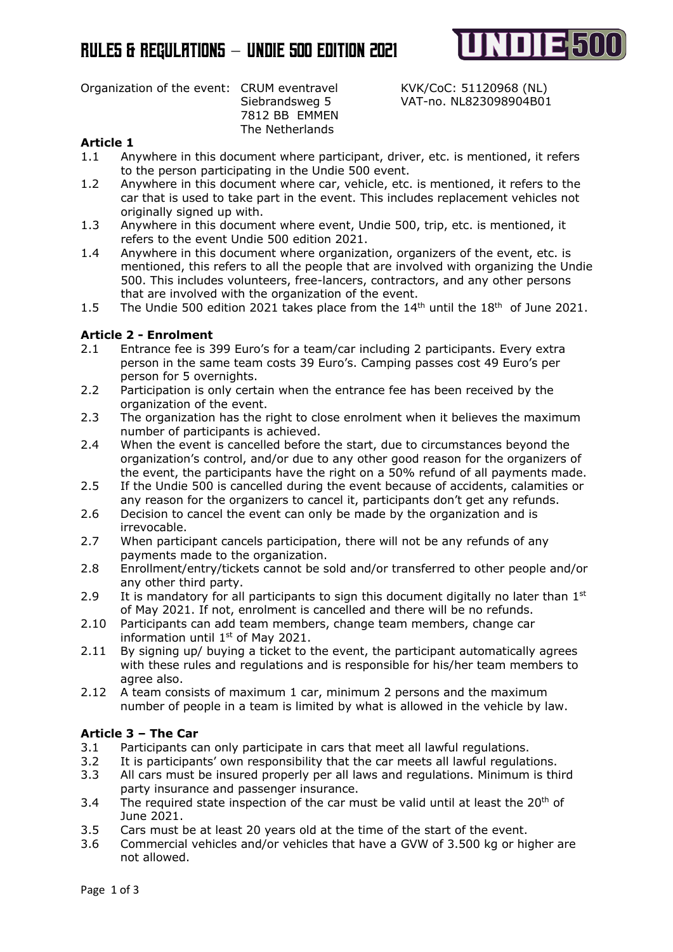

Organization of the event: CRUM eventravel KVK/CoC: 51120968 (NL)

7812 BB EMMEN The Netherlands

Siebrandsweg 5 VAT-no. NL823098904B01

## **Article 1**

- 1.1 Anywhere in this document where participant, driver, etc. is mentioned, it refers to the person participating in the Undie 500 event.
- 1.2 Anywhere in this document where car, vehicle, etc. is mentioned, it refers to the car that is used to take part in the event. This includes replacement vehicles not originally signed up with.
- 1.3 Anywhere in this document where event, Undie 500, trip, etc. is mentioned, it refers to the event Undie 500 edition 2021.
- 1.4 Anywhere in this document where organization, organizers of the event, etc. is mentioned, this refers to all the people that are involved with organizing the Undie 500. This includes volunteers, free-lancers, contractors, and any other persons that are involved with the organization of the event.
- 1.5 The Undie 500 edition 2021 takes place from the  $14<sup>th</sup>$  until the  $18<sup>th</sup>$  of June 2021.

## **Article 2 - Enrolment**

- 2.1 Entrance fee is 399 Euro's for a team/car including 2 participants. Every extra person in the same team costs 39 Euro's. Camping passes cost 49 Euro's per person for 5 overnights.
- 2.2 Participation is only certain when the entrance fee has been received by the organization of the event.
- 2.3 The organization has the right to close enrolment when it believes the maximum number of participants is achieved.
- 2.4 When the event is cancelled before the start, due to circumstances beyond the organization's control, and/or due to any other good reason for the organizers of the event, the participants have the right on a 50% refund of all payments made.
- 2.5 If the Undie 500 is cancelled during the event because of accidents, calamities or any reason for the organizers to cancel it, participants don't get any refunds.
- 2.6 Decision to cancel the event can only be made by the organization and is irrevocable.
- 2.7 When participant cancels participation, there will not be any refunds of any payments made to the organization.
- 2.8 Enrollment/entry/tickets cannot be sold and/or transferred to other people and/or any other third party.
- 2.9 It is mandatory for all participants to sign this document digitally no later than  $1<sup>st</sup>$ of May 2021. If not, enrolment is cancelled and there will be no refunds.
- 2.10 Participants can add team members, change team members, change car information until  $1<sup>st</sup>$  of May 2021.
- 2.11 By signing up/ buying a ticket to the event, the participant automatically agrees with these rules and regulations and is responsible for his/her team members to agree also.
- 2.12 A team consists of maximum 1 car, minimum 2 persons and the maximum number of people in a team is limited by what is allowed in the vehicle by law.

## **Article 3 – The Car**

- 3.1 Participants can only participate in cars that meet all lawful regulations.
- 3.2 It is participants' own responsibility that the car meets all lawful regulations.
- 3.3 All cars must be insured properly per all laws and regulations. Minimum is third party insurance and passenger insurance.
- 3.4 The required state inspection of the car must be valid until at least the  $20<sup>th</sup>$  of June 2021.
- 3.5 Cars must be at least 20 years old at the time of the start of the event.
- 3.6 Commercial vehicles and/or vehicles that have a GVW of 3.500 kg or higher are not allowed.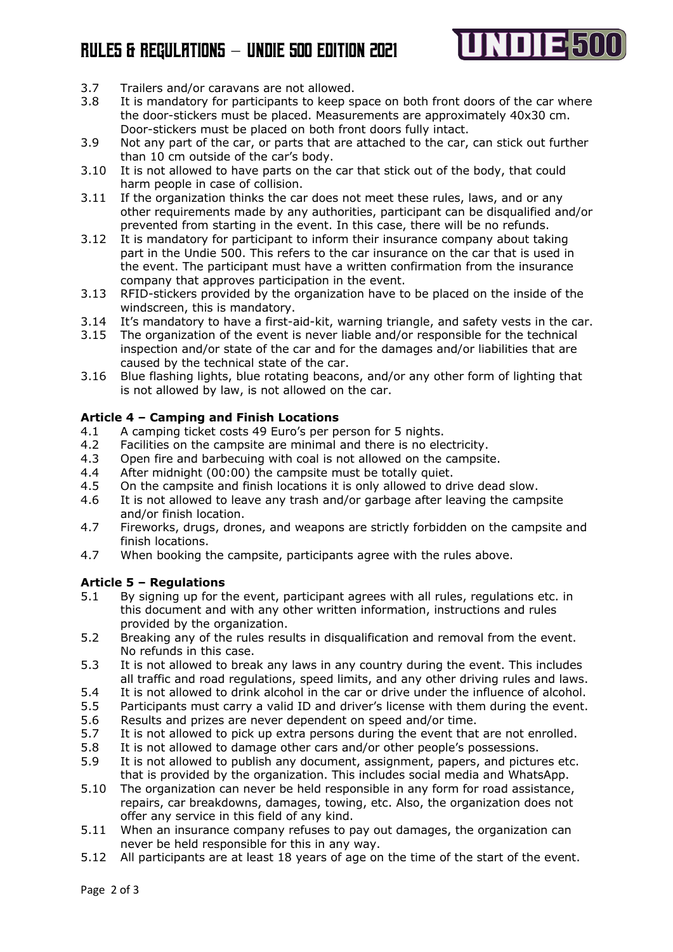# Rules & Regulations – Undie 5oo edition 2o21



- 3.7 Trailers and/or caravans are not allowed.
- 3.8 It is mandatory for participants to keep space on both front doors of the car where the door-stickers must be placed. Measurements are approximately 40x30 cm. Door-stickers must be placed on both front doors fully intact.
- 3.9 Not any part of the car, or parts that are attached to the car, can stick out further than 10 cm outside of the car's body.
- 3.10 It is not allowed to have parts on the car that stick out of the body, that could harm people in case of collision.
- 3.11 If the organization thinks the car does not meet these rules, laws, and or any other requirements made by any authorities, participant can be disqualified and/or prevented from starting in the event. In this case, there will be no refunds.
- 3.12 It is mandatory for participant to inform their insurance company about taking part in the Undie 500. This refers to the car insurance on the car that is used in the event. The participant must have a written confirmation from the insurance company that approves participation in the event.
- 3.13 RFID-stickers provided by the organization have to be placed on the inside of the windscreen, this is mandatory.
- 3.14 It's mandatory to have a first-aid-kit, warning triangle, and safety vests in the car.
- 3.15 The organization of the event is never liable and/or responsible for the technical inspection and/or state of the car and for the damages and/or liabilities that are caused by the technical state of the car.
- 3.16 Blue flashing lights, blue rotating beacons, and/or any other form of lighting that is not allowed by law, is not allowed on the car.

### **Article 4 – Camping and Finish Locations**

- 4.1 A camping ticket costs 49 Euro's per person for 5 nights.
- 4.2 Facilities on the campsite are minimal and there is no electricity.
- 4.3 Open fire and barbecuing with coal is not allowed on the campsite.
- 4.4 After midnight (00:00) the campsite must be totally quiet.
- 4.5 On the campsite and finish locations it is only allowed to drive dead slow.
- 4.6 It is not allowed to leave any trash and/or garbage after leaving the campsite and/or finish location.
- 4.7 Fireworks, drugs, drones, and weapons are strictly forbidden on the campsite and finish locations.
- 4.7 When booking the campsite, participants agree with the rules above.

## **Article 5 – Regulations**

- 5.1 By signing up for the event, participant agrees with all rules, regulations etc. in this document and with any other written information, instructions and rules provided by the organization.
- 5.2 Breaking any of the rules results in disqualification and removal from the event. No refunds in this case.
- 5.3 It is not allowed to break any laws in any country during the event. This includes all traffic and road regulations, speed limits, and any other driving rules and laws.
- 5.4 It is not allowed to drink alcohol in the car or drive under the influence of alcohol.
- 5.5 Participants must carry a valid ID and driver's license with them during the event.
- 5.6 Results and prizes are never dependent on speed and/or time.
- 5.7 It is not allowed to pick up extra persons during the event that are not enrolled.
- 5.8 It is not allowed to damage other cars and/or other people's possessions.
- 5.9 It is not allowed to publish any document, assignment, papers, and pictures etc. that is provided by the organization. This includes social media and WhatsApp.
- 5.10 The organization can never be held responsible in any form for road assistance, repairs, car breakdowns, damages, towing, etc. Also, the organization does not offer any service in this field of any kind.
- 5.11 When an insurance company refuses to pay out damages, the organization can never be held responsible for this in any way.
- 5.12 All participants are at least 18 years of age on the time of the start of the event.